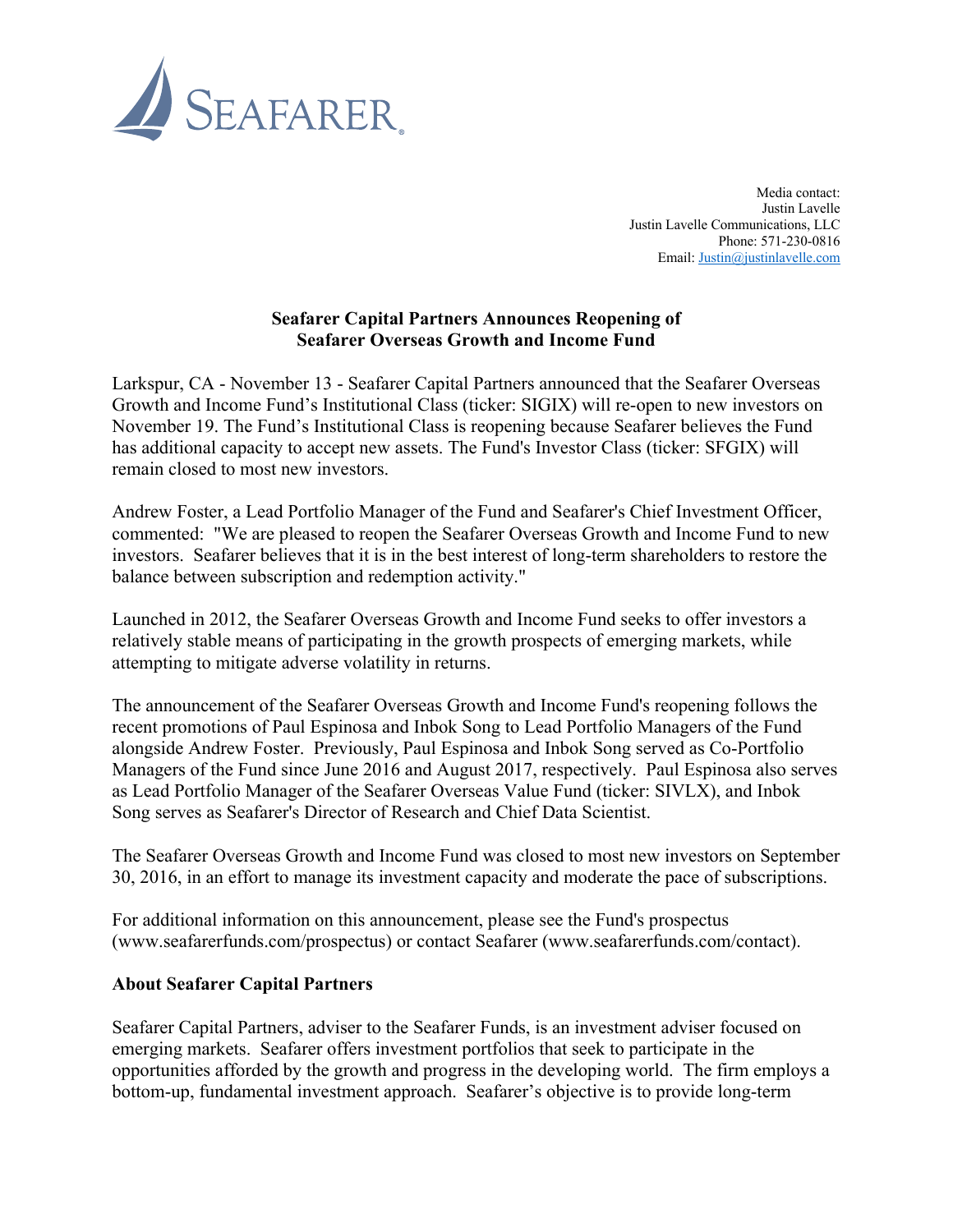

Media contact: Justin Lavelle Justin Lavelle Communications, LLC Phone: 571-230-0816 Email: Justin@justinlavelle.com

## **Seafarer Capital Partners Announces Reopening of Seafarer Overseas Growth and Income Fund**

Larkspur, CA - November 13 - Seafarer Capital Partners announced that the Seafarer Overseas Growth and Income Fund's Institutional Class (ticker: SIGIX) will re-open to new investors on November 19. The Fund's Institutional Class is reopening because Seafarer believes the Fund has additional capacity to accept new assets. The Fund's Investor Class (ticker: SFGIX) will remain closed to most new investors.

Andrew Foster, a Lead Portfolio Manager of the Fund and Seafarer's Chief Investment Officer, commented: "We are pleased to reopen the Seafarer Overseas Growth and Income Fund to new investors. Seafarer believes that it is in the best interest of long-term shareholders to restore the balance between subscription and redemption activity."

Launched in 2012, the Seafarer Overseas Growth and Income Fund seeks to offer investors a relatively stable means of participating in the growth prospects of emerging markets, while attempting to mitigate adverse volatility in returns.

The announcement of the Seafarer Overseas Growth and Income Fund's reopening follows the recent promotions of Paul Espinosa and Inbok Song to Lead Portfolio Managers of the Fund alongside Andrew Foster. Previously, Paul Espinosa and Inbok Song served as Co-Portfolio Managers of the Fund since June 2016 and August 2017, respectively. Paul Espinosa also serves as Lead Portfolio Manager of the Seafarer Overseas Value Fund (ticker: SIVLX), and Inbok Song serves as Seafarer's Director of Research and Chief Data Scientist.

The Seafarer Overseas Growth and Income Fund was closed to most new investors on September 30, 2016, in an effort to manage its investment capacity and moderate the pace of subscriptions.

For additional information on this announcement, please see the Fund's prospectus (www.seafarerfunds.com/prospectus) or contact Seafarer (www.seafarerfunds.com/contact).

## **About Seafarer Capital Partners**

Seafarer Capital Partners, adviser to the Seafarer Funds, is an investment adviser focused on emerging markets. Seafarer offers investment portfolios that seek to participate in the opportunities afforded by the growth and progress in the developing world. The firm employs a bottom-up, fundamental investment approach. Seafarer's objective is to provide long-term